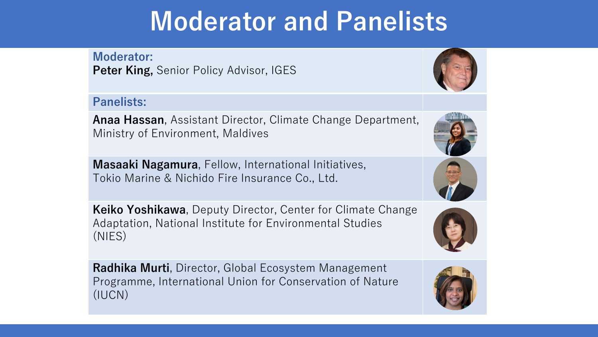# **Moderator and Panelists**

**Moderator: Peter King, Senior Policy Advisor, IGES** 

#### **Panelists:**

**Anaa Hassan**, Assistant Director, Climate Change Department, Ministry of Environment, Maldives

**Masaaki Nagamura**, Fellow, International Initiatives, Tokio Marine & Nichido Fire Insurance Co., Ltd.

**Keiko Yoshikawa**, Deputy Director, Center for Climate Change Adaptation, National Institute for Environmental Studies (NIES)

**Radhika Murti**, Director, Global Ecosystem Management Programme, International Union for Conservation of Nature (IUCN)







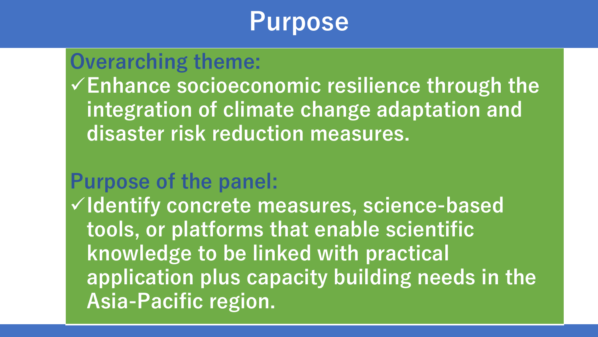### **Purpose**

### **Overarching theme:**

**Enhance socioeconomic resilience through the integration of climate change adaptation and disaster risk reduction measures.**

### **Purpose of the panel:**

**Identify concrete measures, science-based tools, or platforms that enable scientific knowledge to be linked with practical application plus capacity building needs in the Asia-Pacific region.**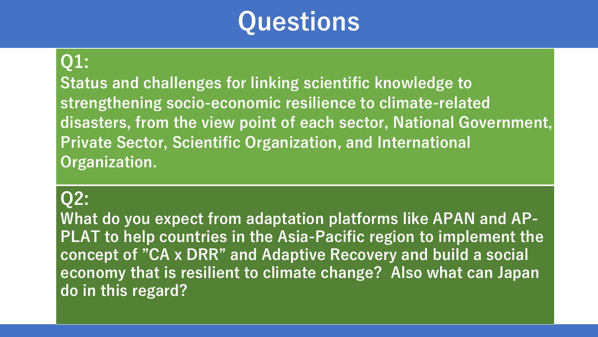# **Questions**

#### **Q1:**

**Status and challenges for linking scientific knowledge to strengthening socio-economic resilience to climate-related disasters, from the view point of each sector, National Government, Private Sector, Scientific Organization, and International Organization.** 

#### **Q2:**

**What do you expect from adaptation platforms like APAN and AP-PLAT to help countries in the Asia-Pacific region to implement the concept of "CA x DRR" and Adaptive Recovery and build a social economy that is resilient to climate change? Also what can Japan do in this regard?**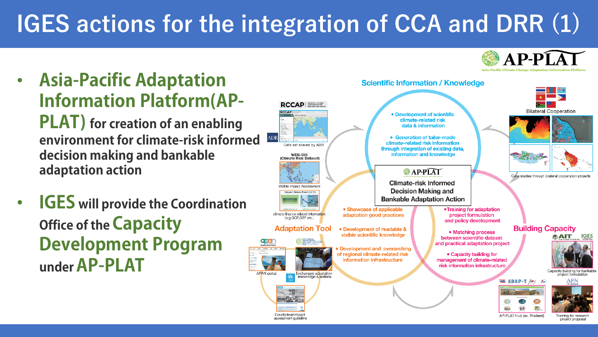### **IGES actions for the integration of CCA and DRR (1)**



County level Impact

assessment quideline

AP-PLAT Hub (ex. Thailand)

Training for research project proposal